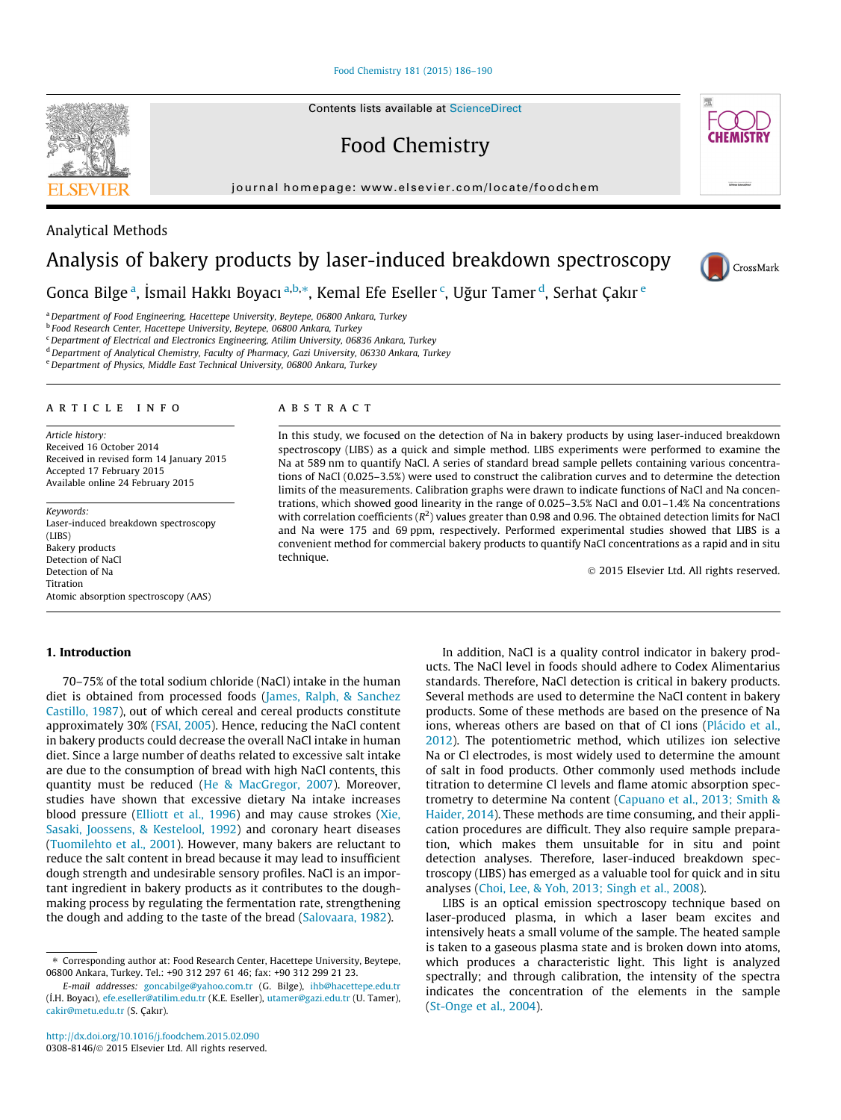[Food Chemistry 181 \(2015\) 186–190](http://dx.doi.org/10.1016/j.foodchem.2015.02.090)

Contents lists available at [ScienceDirect](http://www.sciencedirect.com/science/journal/03088146)

Food Chemistry

journal homepage: [www.elsevier.com/locate/foodchem](http://www.elsevier.com/locate/foodchem)

## Analysis of bakery products by laser-induced breakdown spectroscopy

Gonca Bilge <sup>a</sup>, İsmail Hakkı Boyacı <sup>a,b,</sup>\*, Kemal Efe Eseller <sup>c</sup>, Uğur Tamer <sup>d</sup>, Serhat Çakır <sup>e</sup>

<sup>a</sup> Department of Food Engineering, Hacettepe University, Beytepe, 06800 Ankara, Turkey

<sup>b</sup> Food Research Center, Hacettepe University, Beytepe, 06800 Ankara, Turkey

<sup>c</sup> Department of Electrical and Electronics Engineering, Atilim University, 06836 Ankara, Turkey

<sup>d</sup> Department of Analytical Chemistry, Faculty of Pharmacy, Gazi University, 06330 Ankara, Turkey

e Department of Physics, Middle East Technical University, 06800 Ankara, Turkey

## article info

Article history: Received 16 October 2014 Received in revised form 14 January 2015 Accepted 17 February 2015 Available online 24 February 2015

Keywords: Laser-induced breakdown spectroscopy (LIBS) Bakery products Detection of NaCl Detection of Na Titration Atomic absorption spectroscopy (AAS)

#### 1. Introduction

70–75% of the total sodium chloride (NaCl) intake in the human diet is obtained from processed foods [\(James, Ralph, & Sanchez](#page--1-0) [Castillo, 1987](#page--1-0)), out of which cereal and cereal products constitute approximately 30% [\(FSAI, 2005\)](#page--1-0). Hence, reducing the NaCl content in bakery products could decrease the overall NaCl intake in human diet. Since a large number of deaths related to excessive salt intake are due to the consumption of bread with high NaCl contents, this quantity must be reduced [\(He & MacGregor, 2007](#page--1-0)). Moreover, studies have shown that excessive dietary Na intake increases blood pressure ([Elliott et al., 1996](#page--1-0)) and may cause strokes ([Xie,](#page--1-0) [Sasaki, Joossens, & Kestelool, 1992\)](#page--1-0) and coronary heart diseases ([Tuomilehto et al., 2001](#page--1-0)). However, many bakers are reluctant to reduce the salt content in bread because it may lead to insufficient dough strength and undesirable sensory profiles. NaCl is an important ingredient in bakery products as it contributes to the doughmaking process by regulating the fermentation rate, strengthening the dough and adding to the taste of the bread ([Salovaara, 1982](#page--1-0)).

### **ABSTRACT**

In this study, we focused on the detection of Na in bakery products by using laser-induced breakdown spectroscopy (LIBS) as a quick and simple method. LIBS experiments were performed to examine the Na at 589 nm to quantify NaCl. A series of standard bread sample pellets containing various concentrations of NaCl (0.025–3.5%) were used to construct the calibration curves and to determine the detection limits of the measurements. Calibration graphs were drawn to indicate functions of NaCl and Na concentrations, which showed good linearity in the range of 0.025–3.5% NaCl and 0.01–1.4% Na concentrations with correlation coefficients ( $R^2$ ) values greater than 0.98 and 0.96. The obtained detection limits for NaCl and Na were 175 and 69 ppm, respectively. Performed experimental studies showed that LIBS is a convenient method for commercial bakery products to quantify NaCl concentrations as a rapid and in situ technique.

- 2015 Elsevier Ltd. All rights reserved.

In addition, NaCl is a quality control indicator in bakery products. The NaCl level in foods should adhere to Codex Alimentarius standards. Therefore, NaCl detection is critical in bakery products. Several methods are used to determine the NaCl content in bakery products. Some of these methods are based on the presence of Na ions, whereas others are based on that of Cl ions ([Plácido et al.,](#page--1-0) [2012\)](#page--1-0). The potentiometric method, which utilizes ion selective Na or Cl electrodes, is most widely used to determine the amount of salt in food products. Other commonly used methods include titration to determine Cl levels and flame atomic absorption spectrometry to determine Na content [\(Capuano et al., 2013; Smith &](#page--1-0) [Haider, 2014\)](#page--1-0). These methods are time consuming, and their application procedures are difficult. They also require sample preparation, which makes them unsuitable for in situ and point detection analyses. Therefore, laser-induced breakdown spectroscopy (LIBS) has emerged as a valuable tool for quick and in situ analyses [\(Choi, Lee, & Yoh, 2013; Singh et al., 2008\)](#page--1-0).

LIBS is an optical emission spectroscopy technique based on laser-produced plasma, in which a laser beam excites and intensively heats a small volume of the sample. The heated sample is taken to a gaseous plasma state and is broken down into atoms, which produces a characteristic light. This light is analyzed spectrally; and through calibration, the intensity of the spectra indicates the concentration of the elements in the sample ([St-Onge et al., 2004\)](#page--1-0).



Analytical Methods





<sup>⇑</sup> Corresponding author at: Food Research Center, Hacettepe University, Beytepe, 06800 Ankara, Turkey. Tel.: +90 312 297 61 46; fax: +90 312 299 21 23.

E-mail addresses: [goncabilge@yahoo.com.tr](mailto:goncabilge@yahoo.com.tr) (G. Bilge), [ihb@hacettepe.edu.tr](mailto:ihb@hacettepe.edu.tr      ) (\_ I.H. Boyacı), [efe.eseller@atilim.edu.tr](mailto:efe.eseller@atilim.edu.tr) (K.E. Eseller), [utamer@gazi.edu.tr](mailto:utamer@gazi.edu.tr) (U. Tamer), [cakir@metu.edu.tr](mailto:cakir@metu.edu.tr) (S. Çakır).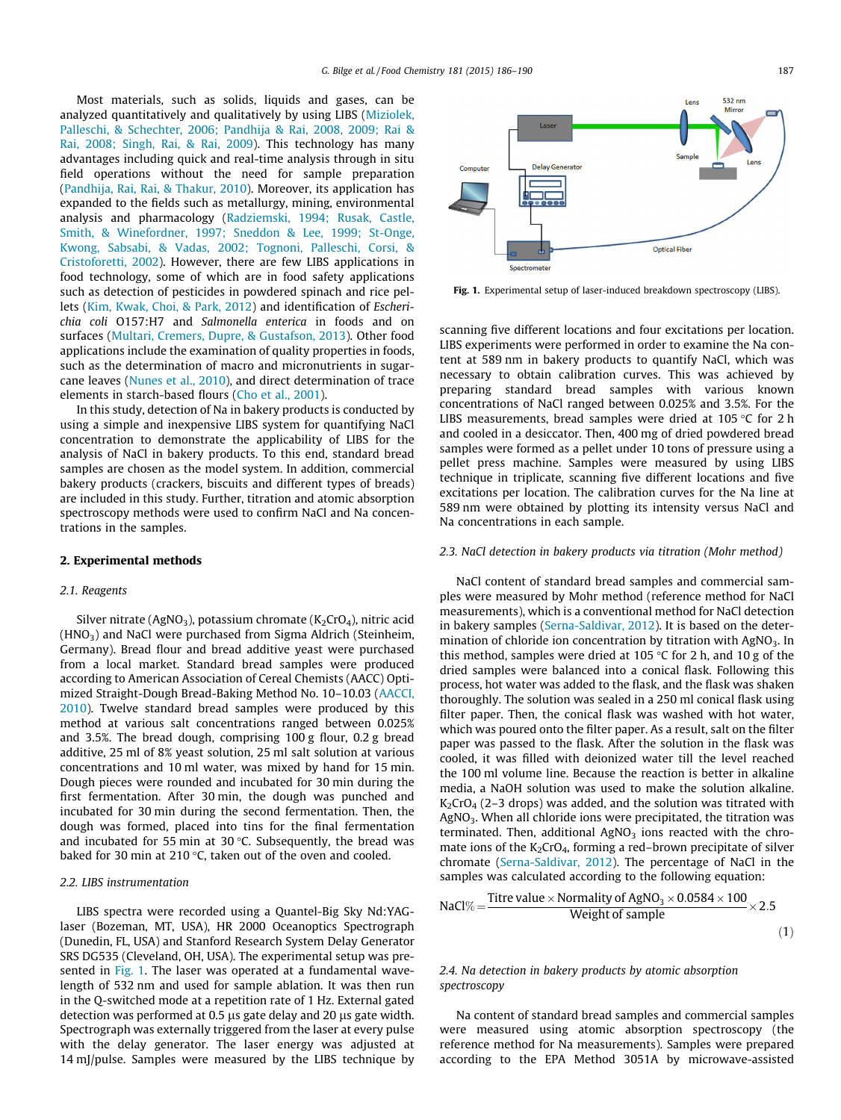Most materials, such as solids, liquids and gases, can be analyzed quantitatively and qualitatively by using LIBS [\(Miziolek,](#page--1-0) [Palleschi, & Schechter, 2006; Pandhija & Rai, 2008, 2009; Rai &](#page--1-0) [Rai, 2008; Singh, Rai, & Rai, 2009](#page--1-0)). This technology has many advantages including quick and real-time analysis through in situ field operations without the need for sample preparation ([Pandhija, Rai, Rai, & Thakur, 2010\)](#page--1-0). Moreover, its application has expanded to the fields such as metallurgy, mining, environmental analysis and pharmacology ([Radziemski, 1994; Rusak, Castle,](#page--1-0) [Smith, & Winefordner, 1997; Sneddon & Lee, 1999; St-Onge,](#page--1-0) [Kwong, Sabsabi, & Vadas, 2002; Tognoni, Palleschi, Corsi, &](#page--1-0) [Cristoforetti, 2002](#page--1-0)). However, there are few LIBS applications in food technology, some of which are in food safety applications such as detection of pesticides in powdered spinach and rice pellets ([Kim, Kwak, Choi, & Park, 2012\)](#page--1-0) and identification of Escherichia coli O157:H7 and Salmonella enterica in foods and on surfaces [\(Multari, Cremers, Dupre, & Gustafson, 2013](#page--1-0)). Other food applications include the examination of quality properties in foods, such as the determination of macro and micronutrients in sugarcane leaves [\(Nunes et al., 2010\)](#page--1-0), and direct determination of trace elements in starch-based flours ([Cho et al., 2001\)](#page--1-0).

In this study, detection of Na in bakery products is conducted by using a simple and inexpensive LIBS system for quantifying NaCl concentration to demonstrate the applicability of LIBS for the analysis of NaCl in bakery products. To this end, standard bread samples are chosen as the model system. In addition, commercial bakery products (crackers, biscuits and different types of breads) are included in this study. Further, titration and atomic absorption spectroscopy methods were used to confirm NaCl and Na concentrations in the samples.

## 2. Experimental methods

## 2.1. Reagents

Silver nitrate (AgNO<sub>3</sub>), potassium chromate ( $K_2$ CrO<sub>4</sub>), nitric acid  $(HNO<sub>3</sub>)$  and NaCl were purchased from Sigma Aldrich (Steinheim, Germany). Bread flour and bread additive yeast were purchased from a local market. Standard bread samples were produced according to American Association of Cereal Chemists (AACC) Optimized Straight-Dough Bread-Baking Method No. 10–10.03 ([AACCI,](#page--1-0) [2010](#page--1-0)). Twelve standard bread samples were produced by this method at various salt concentrations ranged between 0.025% and 3.5%. The bread dough, comprising 100 g flour, 0.2 g bread additive, 25 ml of 8% yeast solution, 25 ml salt solution at various concentrations and 10 ml water, was mixed by hand for 15 min. Dough pieces were rounded and incubated for 30 min during the first fermentation. After 30 min, the dough was punched and incubated for 30 min during the second fermentation. Then, the dough was formed, placed into tins for the final fermentation and incubated for 55 min at 30 $\degree$ C. Subsequently, the bread was baked for 30 min at 210  $\degree$ C, taken out of the oven and cooled.

#### 2.2. LIBS instrumentation

LIBS spectra were recorded using a Quantel-Big Sky Nd:YAGlaser (Bozeman, MT, USA), HR 2000 Oceanoptics Spectrograph (Dunedin, FL, USA) and Stanford Research System Delay Generator SRS DG535 (Cleveland, OH, USA). The experimental setup was presented in Fig. 1. The laser was operated at a fundamental wavelength of 532 nm and used for sample ablation. It was then run in the Q-switched mode at a repetition rate of 1 Hz. External gated detection was performed at 0.5  $\mu$ s gate delay and 20  $\mu$ s gate width. Spectrograph was externally triggered from the laser at every pulse with the delay generator. The laser energy was adjusted at 14 mJ/pulse. Samples were measured by the LIBS technique by



Fig. 1. Experimental setup of laser-induced breakdown spectroscopy (LIBS).

scanning five different locations and four excitations per location. LIBS experiments were performed in order to examine the Na content at 589 nm in bakery products to quantify NaCl, which was necessary to obtain calibration curves. This was achieved by preparing standard bread samples with various known concentrations of NaCl ranged between 0.025% and 3.5%. For the LIBS measurements, bread samples were dried at 105  $\degree$ C for 2 h and cooled in a desiccator. Then, 400 mg of dried powdered bread samples were formed as a pellet under 10 tons of pressure using a pellet press machine. Samples were measured by using LIBS technique in triplicate, scanning five different locations and five excitations per location. The calibration curves for the Na line at 589 nm were obtained by plotting its intensity versus NaCl and Na concentrations in each sample.

### 2.3. NaCl detection in bakery products via titration (Mohr method)

NaCl content of standard bread samples and commercial samples were measured by Mohr method (reference method for NaCl measurements), which is a conventional method for NaCl detection in bakery samples ([Serna-Saldivar, 2012\)](#page--1-0). It is based on the determination of chloride ion concentration by titration with AgNO<sub>3</sub>. In this method, samples were dried at 105  $\degree$ C for 2 h, and 10 g of the dried samples were balanced into a conical flask. Following this process, hot water was added to the flask, and the flask was shaken thoroughly. The solution was sealed in a 250 ml conical flask using filter paper. Then, the conical flask was washed with hot water, which was poured onto the filter paper. As a result, salt on the filter paper was passed to the flask. After the solution in the flask was cooled, it was filled with deionized water till the level reached the 100 ml volume line. Because the reaction is better in alkaline media, a NaOH solution was used to make the solution alkaline.  $K_2$ CrO<sub>4</sub> (2–3 drops) was added, and the solution was titrated with AgNO<sub>3</sub>. When all chloride ions were precipitated, the titration was terminated. Then, additional  $AgNO<sub>3</sub>$  ions reacted with the chromate ions of the  $K_2CrO_4$ , forming a red–brown precipitate of silver chromate [\(Serna-Saldivar, 2012\)](#page--1-0). The percentage of NaCl in the samples was calculated according to the following equation:

$$
NaCl\% = \frac{Titre \times Normality \ of \ AgNO_3 \times 0.0584 \times 100}{Weight \ of \ sample} \times 2.5
$$
\n(1)

## 2.4. Na detection in bakery products by atomic absorption spectroscopy

Na content of standard bread samples and commercial samples were measured using atomic absorption spectroscopy (the reference method for Na measurements). Samples were prepared according to the EPA Method 3051A by microwave-assisted